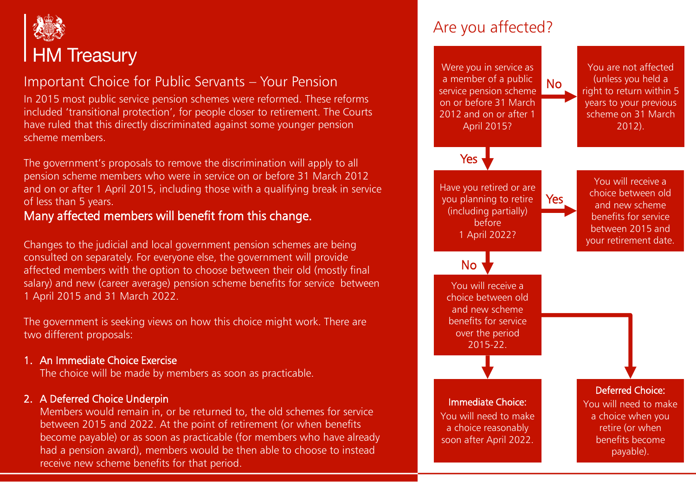

# Important Choice for Public Servants – Your Pension

In 2015 most public service pension schemes were reformed. These reforms included 'transitional protection', for people closer to retirement. The Courts have ruled that this directly discriminated against some younger pension scheme members.

The government's proposals to remove the discrimination will apply to all pension scheme members who were in service on or before 31 March 2012 and on or after 1 April 2015, including those with a qualifying break in service of less than 5 years.

# Many affected members will benefit from this change.

Changes to the judicial and local government pension schemes are being consulted on separately. For everyone else, the government will provide affected members with the option to choose between their old (mostly final salary) and new (career average) pension scheme benefits for service between 1 April 2015 and 31 March 2022.

The government is seeking views on how this choice might work. There are two different proposals:

#### 1. An Immediate Choice Exercise

The choice will be made by members as soon as practicable.

#### 2. A Deferred Choice Underpin

Members would remain in, or be returned to, the old schemes for service between 2015 and 2022. At the point of retirement (or when benefits become payable) or as soon as practicable (for members who have already had a pension award), members would be then able to choose to instead receive new scheme benefits for that period.



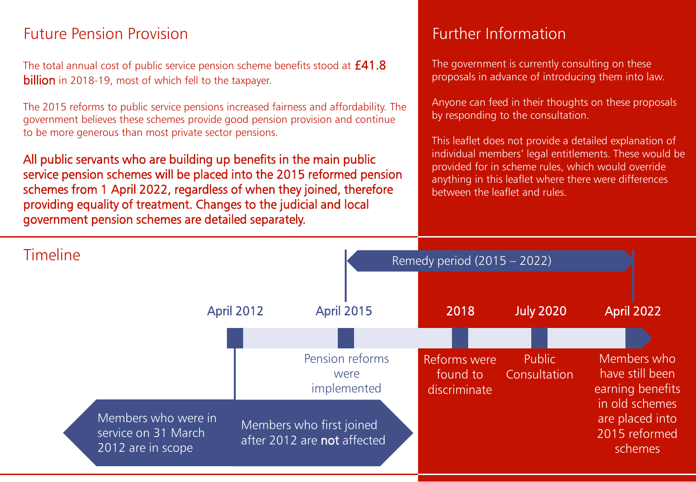# Future Pension Provision **Future Pension Provision**

The total annual cost of public service pension scheme benefits stood at **£41.8** billion in 2018-19, most of which fell to the taxpayer.

The 2015 reforms to public service pensions increased fairness and affordability. The government believes these schemes provide good pension provision and continue to be more generous than most private sector pensions.

All public servants who are building up benefits in the main public service pension schemes will be placed into the 2015 reformed pension schemes from 1 April 2022, regardless of when they joined, therefore providing equality of treatment. Changes to the judicial and local government pension schemes are detailed separately.

The government is currently consulting on these proposals in advance of introducing them into law.

Anyone can feed in their thoughts on these proposals by responding to the consultation.

This leaflet does not provide a detailed explanation of individual members' legal entitlements. These would be provided for in scheme rules, which would override anything in this leaflet where there were differences between the leaflet and rules.